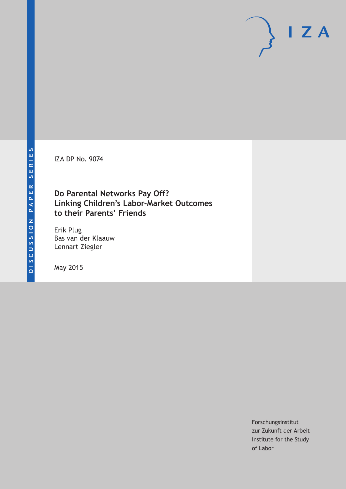IZA DP No. 9074

### **Do Parental Networks Pay Off? Linking Children's Labor-Market Outcomes to their Parents' Friends**

Erik Plug Bas van der Klaauw Lennart Ziegler

May 2015

Forschungsinstitut zur Zukunft der Arbeit Institute for the Study of Labor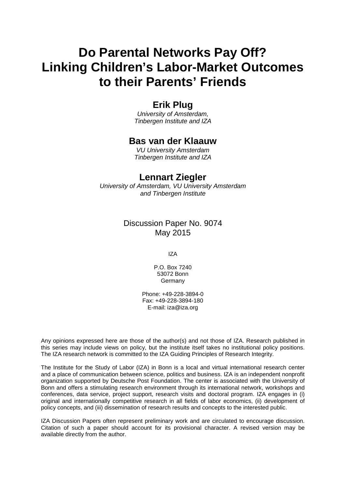# **Do Parental Networks Pay Off? Linking Children's Labor-Market Outcomes to their Parents' Friends**

### **Erik Plug**

*University of Amsterdam, Tinbergen Institute and IZA*

### **Bas van der Klaauw**

*VU University Amsterdam Tinbergen Institute and IZA*

### **Lennart Ziegler**

*University of Amsterdam, VU University Amsterdam and Tinbergen Institute*

#### Discussion Paper No. 9074 May 2015

IZA

P.O. Box 7240 53072 Bonn Germany

Phone: +49-228-3894-0 Fax: +49-228-3894-180 E-mail: iza@iza.org

Any opinions expressed here are those of the author(s) and not those of IZA. Research published in this series may include views on policy, but the institute itself takes no institutional policy positions. The IZA research network is committed to the IZA Guiding Principles of Research Integrity.

The Institute for the Study of Labor (IZA) in Bonn is a local and virtual international research center and a place of communication between science, politics and business. IZA is an independent nonprofit organization supported by Deutsche Post Foundation. The center is associated with the University of Bonn and offers a stimulating research environment through its international network, workshops and conferences, data service, project support, research visits and doctoral program. IZA engages in (i) original and internationally competitive research in all fields of labor economics, (ii) development of policy concepts, and (iii) dissemination of research results and concepts to the interested public.

IZA Discussion Papers often represent preliminary work and are circulated to encourage discussion. Citation of such a paper should account for its provisional character. A revised version may be available directly from the author.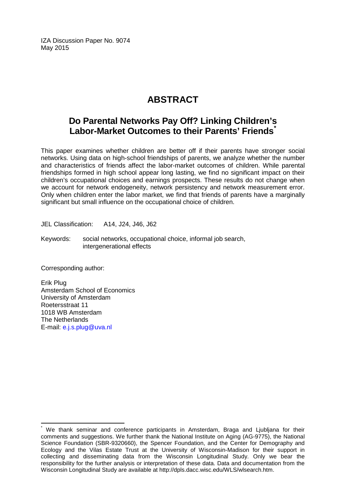IZA Discussion Paper No. 9074 May 2015

### **ABSTRACT**

### **Do Parental Networks Pay Off? Linking Children's Labor-Market Outcomes to their Parents' Friends[\\*](#page-2-0)**

This paper examines whether children are better off if their parents have stronger social networks. Using data on high-school friendships of parents, we analyze whether the number and characteristics of friends affect the labor-market outcomes of children. While parental friendships formed in high school appear long lasting, we find no significant impact on their children's occupational choices and earnings prospects. These results do not change when we account for network endogeneity, network persistency and network measurement error. Only when children enter the labor market, we find that friends of parents have a marginally significant but small influence on the occupational choice of children.

JEL Classification: A14, J24, J46, J62

Keywords: social networks, occupational choice, informal job search, intergenerational effects

Corresponding author:

Erik Plug Amsterdam School of Economics University of Amsterdam Roetersstraat 11 1018 WB Amsterdam The Netherlands E-mail: [e.j.s.plug@uva.nl](mailto:e.j.s.plug@uva.nl)

<span id="page-2-0"></span>We thank seminar and conference participants in Amsterdam, Braga and Ljubljana for their comments and suggestions. We further thank the National Institute on Aging (AG-9775), the National Science Foundation (SBR-9320660), the Spencer Foundation, and the Center for Demography and Ecology and the Vilas Estate Trust at the University of Wisconsin-Madison for their support in collecting and disseminating data from the Wisconsin Longitudinal Study. Only we bear the responsibility for the further analysis or interpretation of these data. Data and documentation from the Wisconsin Longitudinal Study are available at http://dpls.dacc.wisc.edu/WLS/wlsearch.htm.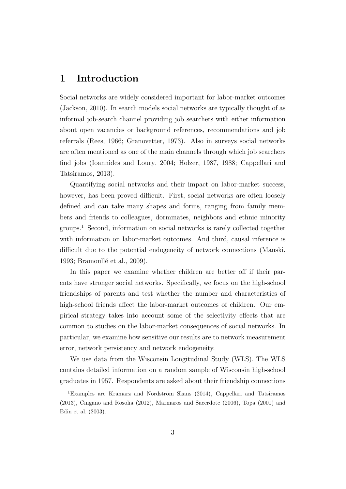### 1 Introduction

Social networks are widely considered important for labor-market outcomes (Jackson, 2010). In search models social networks are typically thought of as informal job-search channel providing job searchers with either information about open vacancies or background references, recommendations and job referrals (Rees, 1966; Granovetter, 1973). Also in surveys social networks are often mentioned as one of the main channels through which job searchers find jobs (Ioannides and Loury, 2004; Holzer, 1987, 1988; Cappellari and Tatsiramos, 2013).

Quantifying social networks and their impact on labor-market success, however, has been proved difficult. First, social networks are often loosely defined and can take many shapes and forms, ranging from family members and friends to colleagues, dormmates, neighbors and ethnic minority groups.<sup>1</sup> Second, information on social networks is rarely collected together with information on labor-market outcomes. And third, causal inference is difficult due to the potential endogeneity of network connections (Manski, 1993; Bramoullé et al., 2009).

In this paper we examine whether children are better off if their parents have stronger social networks. Specifically, we focus on the high-school friendships of parents and test whether the number and characteristics of high-school friends affect the labor-market outcomes of children. Our empirical strategy takes into account some of the selectivity effects that are common to studies on the labor-market consequences of social networks. In particular, we examine how sensitive our results are to network measurement error, network persistency and network endogeneity.

We use data from the Wisconsin Longitudinal Study (WLS). The WLS contains detailed information on a random sample of Wisconsin high-school graduates in 1957. Respondents are asked about their friendship connections

<sup>&</sup>lt;sup>1</sup>Examples are Kramarz and Nordström Skans (2014), Cappellari and Tatsiramos (2013), Cingano and Rosolia (2012), Marmaros and Sacerdote (2006), Topa (2001) and Edin et al. (2003).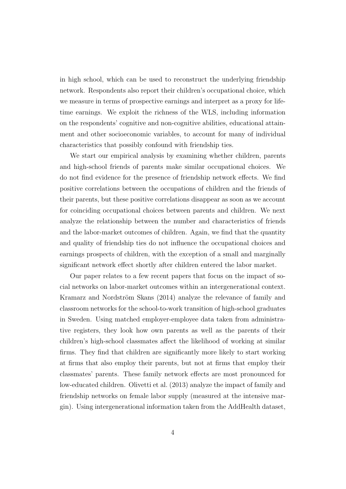in high school, which can be used to reconstruct the underlying friendship network. Respondents also report their children's occupational choice, which we measure in terms of prospective earnings and interpret as a proxy for lifetime earnings. We exploit the richness of the WLS, including information on the respondents' cognitive and non-cognitive abilities, educational attainment and other socioeconomic variables, to account for many of individual characteristics that possibly confound with friendship ties.

We start our empirical analysis by examining whether children, parents and high-school friends of parents make similar occupational choices. We do not find evidence for the presence of friendship network effects. We find positive correlations between the occupations of children and the friends of their parents, but these positive correlations disappear as soon as we account for coinciding occupational choices between parents and children. We next analyze the relationship between the number and characteristics of friends and the labor-market outcomes of children. Again, we find that the quantity and quality of friendship ties do not influence the occupational choices and earnings prospects of children, with the exception of a small and marginally significant network effect shortly after children entered the labor market.

Our paper relates to a few recent papers that focus on the impact of social networks on labor-market outcomes within an intergenerational context. Kramarz and Nordström Skans (2014) analyze the relevance of family and classroom networks for the school-to-work transition of high-school graduates in Sweden. Using matched employer-employee data taken from administrative registers, they look how own parents as well as the parents of their children's high-school classmates affect the likelihood of working at similar firms. They find that children are significantly more likely to start working at firms that also employ their parents, but not at firms that employ their classmates' parents. These family network effects are most pronounced for low-educated children. Olivetti et al. (2013) analyze the impact of family and friendship networks on female labor supply (measured at the intensive margin). Using intergenerational information taken from the AddHealth dataset,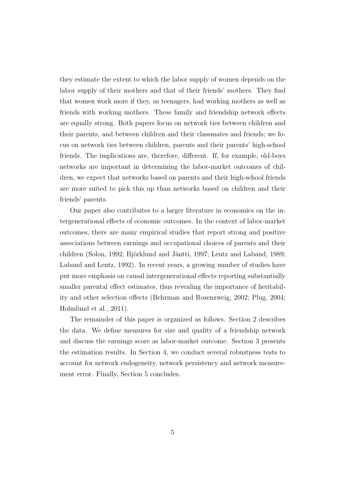they estimate the extent to which the labor supply of women depends on the labor supply of their mothers and that of their friends' mothers. They find that women work more if they, as teenagers, had working mothers as well as friends with working mothers. These family and friendship network effects are equally strong. Both papers focus on network ties between children and their parents, and between children and their classmates and friends; we focus on network ties between children, parents and their parents' high-school friends. The implications are, therefore, different. If, for example, old-boys networks are important in determining the labor-market outcomes of children, we expect that networks based on parents and their high-school friends are more suited to pick this up than networks based on children and their friends' parents.

Our paper also contributes to a larger literature in economics on the intergenerational effects of economic outcomes. In the context of labor-market outcomes, there are many empirical studies that report strong and positive associations between earnings and occupational choices of parents and their children (Solon, 1992; Björklund and Jäntti, 1997; Lentz and Laband, 1989; Laband and Lentz, 1992). In recent years, a growing number of studies have put more emphasis on causal intergenerational effects reporting substantially smaller parental effect estimates, thus revealing the importance of heritability and other selection effects (Behrman and Rosenzweig, 2002; Plug, 2004; Holmlund et al., 2011).

The remainder of this paper is organized as follows. Section 2 describes the data. We define measures for size and quality of a friendship network and discuss the earnings score as labor-market outcome. Section 3 presents the estimation results. In Section 4, we conduct several robustness tests to account for network endogeneity, network persistency and network measurement error. Finally, Section 5 concludes.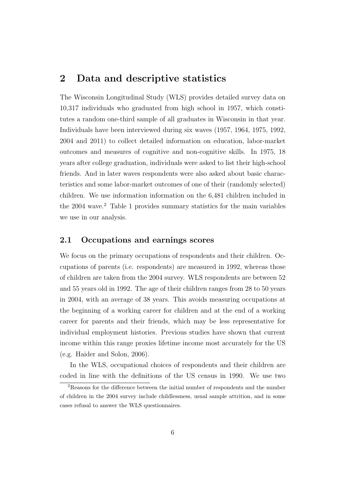### 2 Data and descriptive statistics

The Wisconsin Longitudinal Study (WLS) provides detailed survey data on 10,317 individuals who graduated from high school in 1957, which constitutes a random one-third sample of all graduates in Wisconsin in that year. Individuals have been interviewed during six waves (1957, 1964, 1975, 1992, 2004 and 2011) to collect detailed information on education, labor-market outcomes and measures of cognitive and non-cognitive skills. In 1975, 18 years after college graduation, individuals were asked to list their high-school friends. And in later waves respondents were also asked about basic characteristics and some labor-market outcomes of one of their (randomly selected) children. We use information information on the 6,481 children included in the 2004 wave.<sup>2</sup> Table 1 provides summary statistics for the main variables we use in our analysis.

#### 2.1 Occupations and earnings scores

We focus on the primary occupations of respondents and their children. Occupations of parents (i.e. respondents) are measured in 1992, whereas those of children are taken from the 2004 survey. WLS respondents are between 52 and 55 years old in 1992. The age of their children ranges from 28 to 50 years in 2004, with an average of 38 years. This avoids measuring occupations at the beginning of a working career for children and at the end of a working career for parents and their friends, which may be less representative for individual employment histories. Previous studies have shown that current income within this range proxies lifetime income most accurately for the US (e.g. Haider and Solon, 2006).

In the WLS, occupational choices of respondents and their children are coded in line with the definitions of the US census in 1990. We use two

<sup>2</sup>Reasons for the difference between the initial number of respondents and the number of children in the 2004 survey include childlessness, usual sample attrition, and in some cases refusal to answer the WLS questionnaires.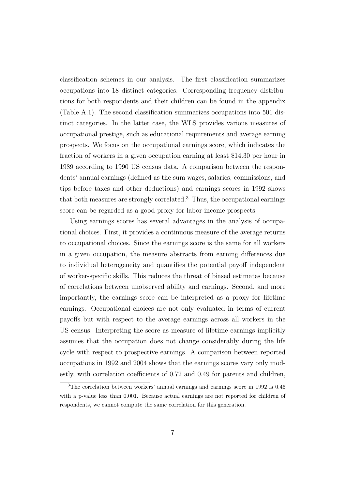classification schemes in our analysis. The first classification summarizes occupations into 18 distinct categories. Corresponding frequency distributions for both respondents and their children can be found in the appendix (Table A.1). The second classification summarizes occupations into 501 distinct categories. In the latter case, the WLS provides various measures of occupational prestige, such as educational requirements and average earning prospects. We focus on the occupational earnings score, which indicates the fraction of workers in a given occupation earning at least \$14.30 per hour in 1989 according to 1990 US census data. A comparison between the respondents' annual earnings (defined as the sum wages, salaries, commissions, and tips before taxes and other deductions) and earnings scores in 1992 shows that both measures are strongly correlated.<sup>3</sup> Thus, the occupational earnings score can be regarded as a good proxy for labor-income prospects.

Using earnings scores has several advantages in the analysis of occupational choices. First, it provides a continuous measure of the average returns to occupational choices. Since the earnings score is the same for all workers in a given occupation, the measure abstracts from earning differences due to individual heterogeneity and quantifies the potential payoff independent of worker-specific skills. This reduces the threat of biased estimates because of correlations between unobserved ability and earnings. Second, and more importantly, the earnings score can be interpreted as a proxy for lifetime earnings. Occupational choices are not only evaluated in terms of current payoffs but with respect to the average earnings across all workers in the US census. Interpreting the score as measure of lifetime earnings implicitly assumes that the occupation does not change considerably during the life cycle with respect to prospective earnings. A comparison between reported occupations in 1992 and 2004 shows that the earnings scores vary only modestly, with correlation coefficients of 0.72 and 0.49 for parents and children,

<sup>3</sup>The correlation between workers' annual earnings and earnings score in 1992 is 0.46 with a p-value less than 0.001. Because actual earnings are not reported for children of respondents, we cannot compute the same correlation for this generation.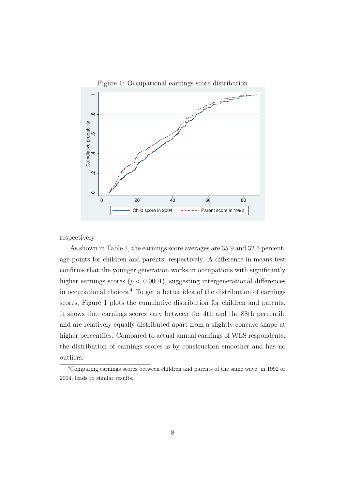

Figure 1: Occupational earnings score distribution

respectively.

As shown in Table 1, the earnings score averages are 35.9 and 32.5 percentage points for children and parents, respectively. A difference-in-means test confirms that the younger generation works in occupations with significantly higher earnings scores ( $p < 0.0001$ ), suggesting intergenerational differences in occupational choices.<sup>4</sup> To get a better idea of the distribution of earnings scores, Figure 1 plots the cumulative distribution for children and parents. It shows that earnings scores vary between the 4th and the 88th percentile and are relatively equally distributed apart from a slightly concave shape at higher percentiles. Compared to actual annual earnings of WLS respondents, the distribution of earnings scores is by construction smoother and has no outliers.

<sup>4</sup>Comparing earnings scores between children and parents of the same wave, in 1992 or 2004, leads to similar results.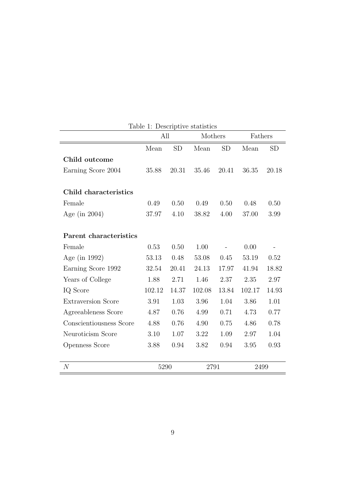|                           | All    |           | Mothers |           | Fathers |           |
|---------------------------|--------|-----------|---------|-----------|---------|-----------|
|                           | Mean   | <b>SD</b> | Mean    | <b>SD</b> | Mean    | <b>SD</b> |
| Child outcome             |        |           |         |           |         |           |
| Earning Score 2004        | 35.88  | 20.31     | 35.46   | 20.41     | 36.35   | 20.18     |
| Child characteristics     |        |           |         |           |         |           |
| Female                    | 0.49   | 0.50      | 0.49    | 0.50      | 0.48    | 0.50      |
| Age (in $2004$ )          | 37.97  | 4.10      | 38.82   | 4.00      | 37.00   | 3.99      |
| Parent characteristics    |        |           |         |           |         |           |
| Female                    | 0.53   | 0.50      | 1.00    |           | 0.00    |           |
| Age (in 1992)             | 53.13  | 0.48      | 53.08   | 0.45      | 53.19   | $0.52\,$  |
| Earning Score 1992        | 32.54  | 20.41     | 24.13   | 17.97     | 41.94   | 18.82     |
| Years of College          | 1.88   | 2.71      | 1.46    | 2.37      | 2.35    | 2.97      |
| IQ Score                  | 102.12 | 14.37     | 102.08  | 13.84     | 102.17  | 14.93     |
| <b>Extraversion Score</b> | 3.91   | 1.03      | 3.96    | 1.04      | 3.86    | 1.01      |
| Agreeableness Score       | 4.87   | 0.76      | 4.99    | 0.71      | 4.73    | 0.77      |
| Conscientiousness Score   | 4.88   | 0.76      | 4.90    | 0.75      | 4.86    | 0.78      |
| Neuroticism Score         | 3.10   | 1.07      | 3.22    | 1.09      | 2.97    | 1.04      |
| Openness Score            | 3.88   | 0.94      | 3.82    | 0.94      | 3.95    | 0.93      |
| $\mathcal{N}$             | 5290   |           | 2791    |           | 2499    |           |

Table 1: Descriptive statistics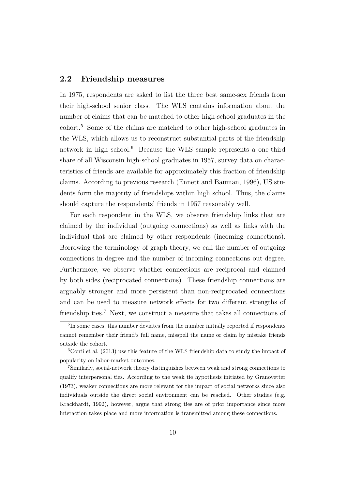#### 2.2 Friendship measures

In 1975, respondents are asked to list the three best same-sex friends from their high-school senior class. The WLS contains information about the number of claims that can be matched to other high-school graduates in the cohort.<sup>5</sup> Some of the claims are matched to other high-school graduates in the WLS, which allows us to reconstruct substantial parts of the friendship network in high school. $6$  Because the WLS sample represents a one-third share of all Wisconsin high-school graduates in 1957, survey data on characteristics of friends are available for approximately this fraction of friendship claims. According to previous research (Ennett and Bauman, 1996), US students form the majority of friendships within high school. Thus, the claims should capture the respondents' friends in 1957 reasonably well.

For each respondent in the WLS, we observe friendship links that are claimed by the individual (outgoing connections) as well as links with the individual that are claimed by other respondents (incoming connections). Borrowing the terminology of graph theory, we call the number of outgoing connections in-degree and the number of incoming connections out-degree. Furthermore, we observe whether connections are reciprocal and claimed by both sides (reciprocated connections). These friendship connections are arguably stronger and more persistent than non-reciprocated connections and can be used to measure network effects for two different strengths of friendship ties.<sup>7</sup> Next, we construct a measure that takes all connections of

<sup>&</sup>lt;sup>5</sup>In some cases, this number deviates from the number initially reported if respondents cannot remember their friend's full name, misspell the name or claim by mistake friends outside the cohort.

 $6$ Conti et al. (2013) use this feature of the WLS friendship data to study the impact of popularity on labor-market outcomes.

<sup>7</sup>Similarly, social-network theory distinguishes between weak and strong connections to qualify interpersonal ties. According to the weak tie hypothesis initiated by Granovetter (1973), weaker connections are more relevant for the impact of social networks since also individuals outside the direct social environment can be reached. Other studies (e.g. Krackhardt, 1992), however, argue that strong ties are of prior importance since more interaction takes place and more information is transmitted among these connections.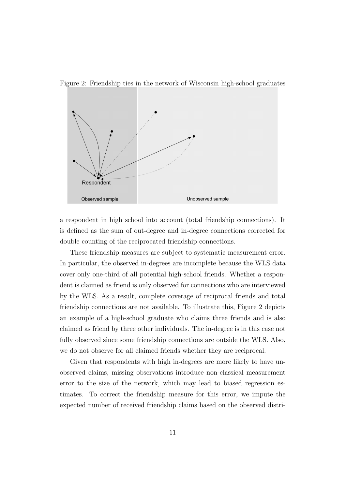



a respondent in high school into account (total friendship connections). It is defined as the sum of out-degree and in-degree connections corrected for double counting of the reciprocated friendship connections.

These friendship measures are subject to systematic measurement error. In particular, the observed in-degrees are incomplete because the WLS data cover only one-third of all potential high-school friends. Whether a respondent is claimed as friend is only observed for connections who are interviewed by the WLS. As a result, complete coverage of reciprocal friends and total friendship connections are not available. To illustrate this, Figure 2 depicts an example of a high-school graduate who claims three friends and is also claimed as friend by three other individuals. The in-degree is in this case not fully observed since some friendship connections are outside the WLS. Also, we do not observe for all claimed friends whether they are reciprocal.

Given that respondents with high in-degrees are more likely to have unobserved claims, missing observations introduce non-classical measurement error to the size of the network, which may lead to biased regression estimates. To correct the friendship measure for this error, we impute the expected number of received friendship claims based on the observed distri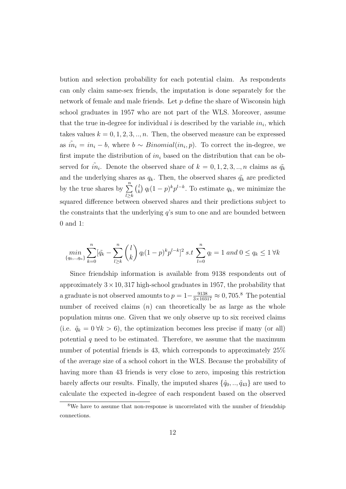bution and selection probability for each potential claim. As respondents can only claim same-sex friends, the imputation is done separately for the network of female and male friends. Let  $p$  define the share of Wisconsin high school graduates in 1957 who are not part of the WLS. Moreover, assume that the true in-degree for individual  $i$  is described by the variable  $in_i$ , which takes values  $k = 0, 1, 2, 3, \ldots, n$ . Then, the observed measure can be expressed as  $\tilde{in}_i = in_i - b$ , where  $b \sim Binomial(in_i, p)$ . To correct the in-degree, we first impute the distribution of  $in_i$  based on the distribution that can be observed for  $\tilde{m}_i$ . Denote the observed share of  $k = 0, 1, 2, 3, ..., n$  claims as  $\tilde{q}_k$ and the underlying shares as  $q_k$ . Then, the observed shares  $\tilde{q}_k$  are predicted by the true shares by  $\sum_{n=1}^{\infty}$  $l \geq k$  $\binom{l}{l}$  $\binom{l}{k} q_l(1-p)^k p^{l-k}$ . To estimate  $q_k$ , we minimize the squared difference between observed shares and their predictions subject to the constraints that the underlying  $q$ 's sum to one and are bounded between 0 and 1:

$$
\min_{\{q_0,\dots,q_n\}} \sum_{k=0}^n [\tilde{q_k} - \sum_{l\geq k}^n \binom{l}{k} q_l (1-p)^k p^{l-k}]^2 \ s.t \ \sum_{l=0}^n q_l = 1 \ and \ 0 \leq q_k \leq 1 \ \forall k
$$

Since friendship information is available from 9138 respondents out of approximately  $3 \times 10$ , 317 high-school graduates in 1957, the probability that a graduate is not observed amounts to  $p = 1 - \frac{9138}{3 \times 10317} \approx 0,705$ .<sup>8</sup> The potential number of received claims  $(n)$  can theoretically be as large as the whole population minus one. Given that we only observe up to six received claims (i.e.  $\tilde{q}_k = 0 \forall k > 6$ ), the optimization becomes less precise if many (or all) potential  $q$  need to be estimated. Therefore, we assume that the maximum number of potential friends is 43, which corresponds to approximately 25% of the average size of a school cohort in the WLS. Because the probability of having more than 43 friends is very close to zero, imposing this restriction barely affects our results. Finally, the imputed shares  $\{\hat{q}_0, \ldots, \hat{q}_{43}\}$  are used to calculate the expected in-degree of each respondent based on the observed

<sup>&</sup>lt;sup>8</sup>We have to assume that non-response is uncorrelated with the number of friendship connections.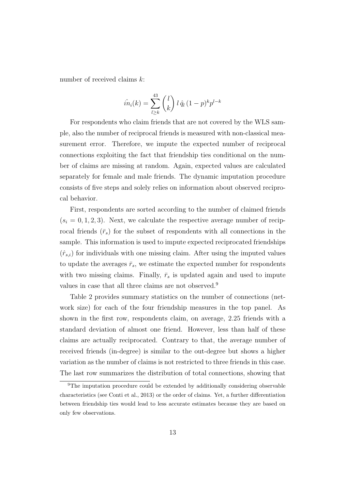number of received claims k:

$$
\hat{in}_i(k) = \sum_{l \ge k}^{43} \binom{l}{k} l \hat{q}_l (1-p)^k p^{l-k}
$$

For respondents who claim friends that are not covered by the WLS sample, also the number of reciprocal friends is measured with non-classical measurement error. Therefore, we impute the expected number of reciprocal connections exploiting the fact that friendship ties conditional on the number of claims are missing at random. Again, expected values are calculated separately for female and male friends. The dynamic imputation procedure consists of five steps and solely relies on information about observed reciprocal behavior.

First, respondents are sorted according to the number of claimed friends  $(s_i = 0, 1, 2, 3)$ . Next, we calculate the respective average number of reciprocal friends  $(\bar{r}_s)$  for the subset of respondents with all connections in the sample. This information is used to impute expected reciprocated friendships  $(\hat{r}_{s,i})$  for individuals with one missing claim. After using the imputed values to update the averages  $\bar{r}_s$ , we estimate the expected number for respondents with two missing claims. Finally,  $\bar{r}_s$  is updated again and used to impute values in case that all three claims are not observed.<sup>9</sup>

Table 2 provides summary statistics on the number of connections (network size) for each of the four friendship measures in the top panel. As shown in the first row, respondents claim, on average, 2.25 friends with a standard deviation of almost one friend. However, less than half of these claims are actually reciprocated. Contrary to that, the average number of received friends (in-degree) is similar to the out-degree but shows a higher variation as the number of claims is not restricted to three friends in this case. The last row summarizes the distribution of total connections, showing that

<sup>&</sup>lt;sup>9</sup>The imputation procedure could be extended by additionally considering observable characteristics (see Conti et al., 2013) or the order of claims. Yet, a further differentiation between friendship ties would lead to less accurate estimates because they are based on only few observations.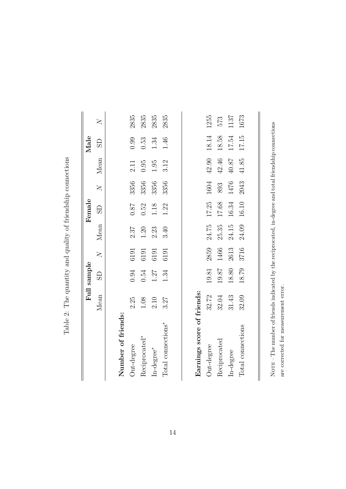|                                |          | Full sample             |                |       | Female         |                |         | Male     |                         |
|--------------------------------|----------|-------------------------|----------------|-------|----------------|----------------|---------|----------|-------------------------|
|                                | Mean     | $\overline{\mathrm{d}}$ | $\overline{X}$ | Mean  | $\overline{S}$ | $\overline{X}$ | Mean    | GS       | $\overline{\mathsf{X}}$ |
|                                |          |                         |                |       |                |                |         |          |                         |
| Number of friends:             |          |                         |                |       |                |                |         |          |                         |
| Out-degree                     | 2.25     | 0.94                    | 6191           | 2.37  | $78.0\,$       | 3356           | 2.11    | 0.99     | 2835                    |
| Reciprocated*                  | $1.08\,$ | 0.54                    | 6191           | 1.20  | 0.52           | 3356           | 0.95    | 0.53     | 2835                    |
| In-degree*                     | 2.10     | 1.27                    | 6191           | 2.23  | 1.18           | 3356           | 1.95    | $1.34\,$ | 2835                    |
| Total connections <sup>*</sup> | 3.27     | 1.34                    | 6191           | 3.40  | 1.22           | 3356           | 3.12    | 1.46     | 2835                    |
|                                |          |                         |                |       |                |                |         |          |                         |
|                                |          |                         |                |       |                |                |         |          |                         |
| Earnings score of friends:     |          |                         |                |       |                |                |         |          |                         |
| Out-degree                     | 32.72    | $19.81$                 | 2859           | 24.75 | 17.25          | 1604           | 42.90   | 18.14    | 1255                    |
| Reciprocated                   | 32.04    | 19.87                   | 1466           | 25.35 | 17.68          | 893            | 42.46   | 18.58    | 573                     |
| In-degree                      | 31.43    | $18.80$                 | 2613           | 24.15 | $16.34\,$      | 1476           | $40.87$ | 17.54    | 1137                    |
| Total connections              | 32.09    | 18.79                   | 3716           | 24.09 | 16.10          | 2043           | 41.85   | 17.15    | 1673                    |

Table 2: The quantity and quality of friendship connections Table 2: The quantity and quality of friendship connections

are corrected for measurement error.

are corrected for measurement error.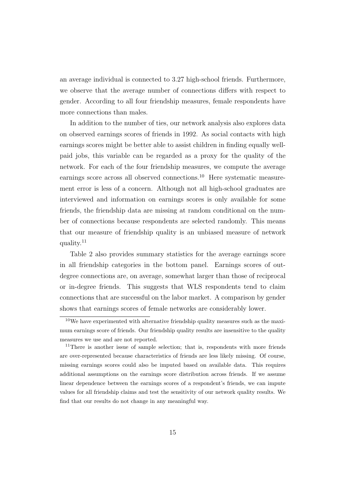an average individual is connected to 3.27 high-school friends. Furthermore, we observe that the average number of connections differs with respect to gender. According to all four friendship measures, female respondents have more connections than males.

In addition to the number of ties, our network analysis also explores data on observed earnings scores of friends in 1992. As social contacts with high earnings scores might be better able to assist children in finding equally wellpaid jobs, this variable can be regarded as a proxy for the quality of the network. For each of the four friendship measures, we compute the average earnings score across all observed connections.<sup>10</sup> Here systematic measurement error is less of a concern. Although not all high-school graduates are interviewed and information on earnings scores is only available for some friends, the friendship data are missing at random conditional on the number of connections because respondents are selected randomly. This means that our measure of friendship quality is an unbiased measure of network quality.<sup>11</sup>

Table 2 also provides summary statistics for the average earnings score in all friendship categories in the bottom panel. Earnings scores of outdegree connections are, on average, somewhat larger than those of reciprocal or in-degree friends. This suggests that WLS respondents tend to claim connections that are successful on the labor market. A comparison by gender shows that earnings scores of female networks are considerably lower.

 $10$ We have experimented with alternative friendship quality measures such as the maximum earnings score of friends. Our friendship quality results are insensitive to the quality measures we use and are not reported.

<sup>&</sup>lt;sup>11</sup>There is another issue of sample selection; that is, respondents with more friends are over-represented because characteristics of friends are less likely missing. Of course, missing earnings scores could also be imputed based on available data. This requires additional assumptions on the earnings score distribution across friends. If we assume linear dependence between the earnings scores of a respondent's friends, we can impute values for all friendship claims and test the sensitivity of our network quality results. We find that our results do not change in any meaningful way.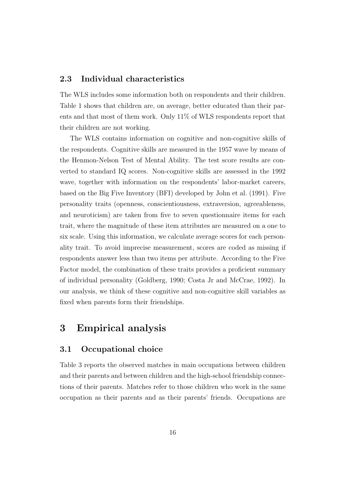#### 2.3 Individual characteristics

The WLS includes some information both on respondents and their children. Table 1 shows that children are, on average, better educated than their parents and that most of them work. Only 11% of WLS respondents report that their children are not working.

The WLS contains information on cognitive and non-cognitive skills of the respondents. Cognitive skills are measured in the 1957 wave by means of the Henmon-Nelson Test of Mental Ability. The test score results are converted to standard IQ scores. Non-cognitive skills are assessed in the 1992 wave, together with information on the respondents' labor-market careers, based on the Big Five Inventory (BFI) developed by John et al. (1991). Five personality traits (openness, conscientiousness, extraversion, agreeableness, and neuroticism) are taken from five to seven questionnaire items for each trait, where the magnitude of these item attributes are measured on a one to six scale. Using this information, we calculate average scores for each personality trait. To avoid imprecise measurement, scores are coded as missing if respondents answer less than two items per attribute. According to the Five Factor model, the combination of these traits provides a proficient summary of individual personality (Goldberg, 1990; Costa Jr and McCrae, 1992). In our analysis, we think of these cognitive and non-cognitive skill variables as fixed when parents form their friendships.

### 3 Empirical analysis

#### 3.1 Occupational choice

Table 3 reports the observed matches in main occupations between children and their parents and between children and the high-school friendship connections of their parents. Matches refer to those children who work in the same occupation as their parents and as their parents' friends. Occupations are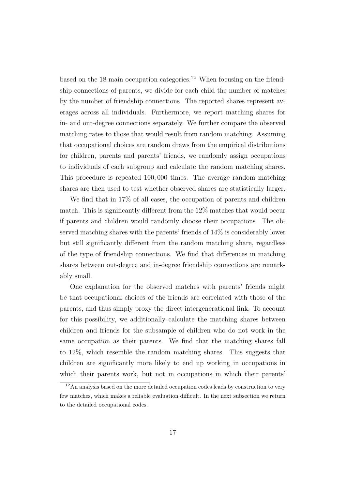based on the 18 main occupation categories.<sup>12</sup> When focusing on the friendship connections of parents, we divide for each child the number of matches by the number of friendship connections. The reported shares represent averages across all individuals. Furthermore, we report matching shares for in- and out-degree connections separately. We further compare the observed matching rates to those that would result from random matching. Assuming that occupational choices are random draws from the empirical distributions for children, parents and parents' friends, we randomly assign occupations to individuals of each subgroup and calculate the random matching shares. This procedure is repeated 100, 000 times. The average random matching shares are then used to test whether observed shares are statistically larger.

We find that in 17% of all cases, the occupation of parents and children match. This is significantly different from the 12% matches that would occur if parents and children would randomly choose their occupations. The observed matching shares with the parents' friends of 14% is considerably lower but still significantly different from the random matching share, regardless of the type of friendship connections. We find that differences in matching shares between out-degree and in-degree friendship connections are remarkably small.

One explanation for the observed matches with parents' friends might be that occupational choices of the friends are correlated with those of the parents, and thus simply proxy the direct intergenerational link. To account for this possibility, we additionally calculate the matching shares between children and friends for the subsample of children who do not work in the same occupation as their parents. We find that the matching shares fall to 12%, which resemble the random matching shares. This suggests that children are significantly more likely to end up working in occupations in which their parents work, but not in occupations in which their parents'

<sup>&</sup>lt;sup>12</sup>An analysis based on the more detailed occupation codes leads by construction to very few matches, which makes a reliable evaluation difficult. In the next subsection we return to the detailed occupational codes.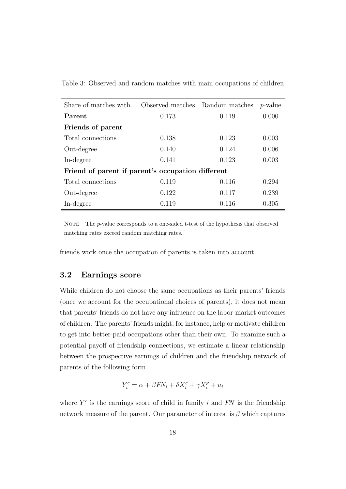| Share of matches with Observed matches            |       | Random matches | $p$ -value |
|---------------------------------------------------|-------|----------------|------------|
| Parent                                            | 0.173 | 0.119          | 0.000      |
| Friends of parent                                 |       |                |            |
| Total connections                                 | 0.138 | 0.123          | 0.003      |
| Out-degree                                        | 0.140 | 0.124          | 0.006      |
| In-degree                                         | 0.141 | 0.123          | 0.003      |
| Friend of parent if parent's occupation different |       |                |            |
| Total connections                                 | 0.119 | 0.116          | 0.294      |
| Out-degree                                        | 0.122 | 0.117          | 0.239      |
| In-degree                                         | 0.119 | 0.116          | 0.305      |

Table 3: Observed and random matches with main occupations of children

NOTE – The  $p$ -value corresponds to a one-sided t-test of the hypothesis that observed matching rates exceed random matching rates.

friends work once the occupation of parents is taken into account.

#### 3.2 Earnings score

While children do not choose the same occupations as their parents' friends (once we account for the occupational choices of parents), it does not mean that parents' friends do not have any influence on the labor-market outcomes of children. The parents' friends might, for instance, help or motivate children to get into better-paid occupations other than their own. To examine such a potential payoff of friendship connections, we estimate a linear relationship between the prospective earnings of children and the friendship network of parents of the following form

$$
Y_i^c = \alpha + \beta FN_i + \delta X_i^c + \gamma X_i^p + u_i
$$

where  $Y<sup>c</sup>$  is the earnings score of child in family i and  $FN$  is the friendship network measure of the parent. Our parameter of interest is  $\beta$  which captures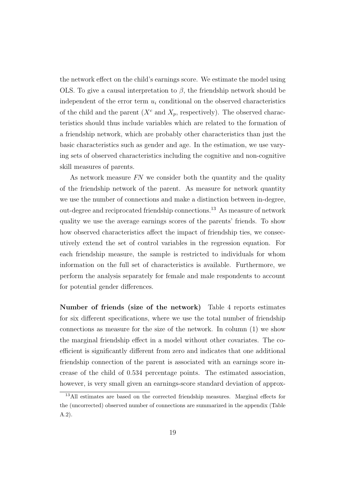the network effect on the child's earnings score. We estimate the model using OLS. To give a causal interpretation to  $\beta$ , the friendship network should be independent of the error term  $u_i$  conditional on the observed characteristics of the child and the parent  $(X^c$  and  $X_p$ , respectively). The observed characteristics should thus include variables which are related to the formation of a friendship network, which are probably other characteristics than just the basic characteristics such as gender and age. In the estimation, we use varying sets of observed characteristics including the cognitive and non-cognitive skill measures of parents.

As network measure FN we consider both the quantity and the quality of the friendship network of the parent. As measure for network quantity we use the number of connections and make a distinction between in-degree, out-degree and reciprocated friendship connections.<sup>13</sup> As measure of network quality we use the average earnings scores of the parents' friends. To show how observed characteristics affect the impact of friendship ties, we consecutively extend the set of control variables in the regression equation. For each friendship measure, the sample is restricted to individuals for whom information on the full set of characteristics is available. Furthermore, we perform the analysis separately for female and male respondents to account for potential gender differences.

Number of friends (size of the network) Table 4 reports estimates for six different specifications, where we use the total number of friendship connections as measure for the size of the network. In column (1) we show the marginal friendship effect in a model without other covariates. The coefficient is significantly different from zero and indicates that one additional friendship connection of the parent is associated with an earnings score increase of the child of 0.534 percentage points. The estimated association, however, is very small given an earnings-score standard deviation of approx-

<sup>13</sup>All estimates are based on the corrected friendship measures. Marginal effects for the (uncorrected) observed number of connections are summarized in the appendix (Table A.2).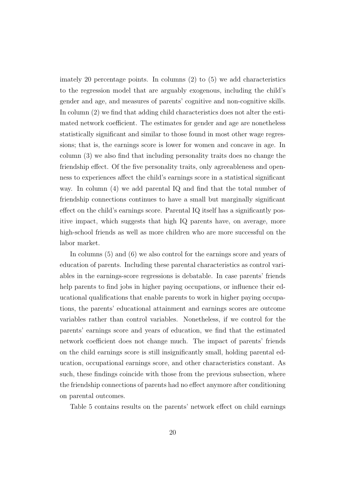imately 20 percentage points. In columns  $(2)$  to  $(5)$  we add characteristics to the regression model that are arguably exogenous, including the child's gender and age, and measures of parents' cognitive and non-cognitive skills. In column (2) we find that adding child characteristics does not alter the estimated network coefficient. The estimates for gender and age are nonetheless statistically significant and similar to those found in most other wage regressions; that is, the earnings score is lower for women and concave in age. In column (3) we also find that including personality traits does no change the friendship effect. Of the five personality traits, only agreeableness and openness to experiences affect the child's earnings score in a statistical significant way. In column (4) we add parental IQ and find that the total number of friendship connections continues to have a small but marginally significant effect on the child's earnings score. Parental IQ itself has a significantly positive impact, which suggests that high IQ parents have, on average, more high-school friends as well as more children who are more successful on the labor market.

In columns (5) and (6) we also control for the earnings score and years of education of parents. Including these parental characteristics as control variables in the earnings-score regressions is debatable. In case parents' friends help parents to find jobs in higher paying occupations, or influence their educational qualifications that enable parents to work in higher paying occupations, the parents' educational attainment and earnings scores are outcome variables rather than control variables. Nonetheless, if we control for the parents' earnings score and years of education, we find that the estimated network coefficient does not change much. The impact of parents' friends on the child earnings score is still insignificantly small, holding parental education, occupational earnings score, and other characteristics constant. As such, these findings coincide with those from the previous subsection, where the friendship connections of parents had no effect anymore after conditioning on parental outcomes.

Table 5 contains results on the parents' network effect on child earnings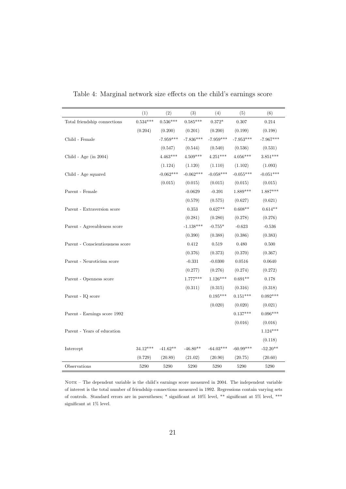|                                  | (1)        | (2)         | (3)         | (4)         | (5)         | (6)         |
|----------------------------------|------------|-------------|-------------|-------------|-------------|-------------|
| Total friendship connections     | $0.534***$ | $0.536***$  | $0.585***$  | $0.372*$    | 0.307       | 0.214       |
|                                  | (0.204)    | (0.200)     | (0.201)     | (0.200)     | (0.199)     | (0.198)     |
| Child - Female                   |            | $-7.959***$ | $-7.836***$ | $-7.959***$ | $-7.953***$ | $-7.967***$ |
|                                  |            | (0.547)     | (0.544)     | (0.540)     | (0.536)     | (0.531)     |
| Child - Age (in $2004$ )         |            | $4.463***$  | $4.509***$  | $4.251***$  | $4.056***$  | $3.851***$  |
|                                  |            | (1.124)     | (1.120)     | (1.110)     | (1.102)     | (1.093)     |
| Child - Age squared              |            | $-0.062***$ | $-0.062***$ | $-0.058***$ | $-0.055***$ | $-0.051***$ |
|                                  |            | (0.015)     | (0.015)     | (0.015)     | (0.015)     | (0.015)     |
| Parent - Female                  |            |             | $-0.0629$   | $-0.391$    | $1.889***$  | $1.887***$  |
|                                  |            |             | (0.579)     | (0.575)     | (0.627)     | (0.621)     |
| Parent - Extraversion score      |            |             | $\rm 0.353$ | $0.627**$   | $0.608**$   | $0.614**$   |
|                                  |            |             | (0.281)     | (0.280)     | (0.278)     | (0.276)     |
| Parent - Agreeableness score     |            |             | $-1.138***$ | $-0.755*$   | $-0.623$    | $-0.536$    |
|                                  |            |             | (0.390)     | (0.388)     | (0.386)     | (0.383)     |
| Parent - Conscientiousness score |            |             | 0.412       | 0.519       | 0.480       | 0.500       |
|                                  |            |             | (0.376)     | (0.373)     | (0.370)     | (0.367)     |
| Parent - Neuroticism score       |            |             | $-0.331$    | $-0.0300$   | 0.0516      | 0.0640      |
|                                  |            |             | (0.277)     | (0.276)     | (0.274)     | (0.272)     |
| Parent - Openness score          |            |             | $1.777***$  | $1.126***$  | $0.691**$   | 0.178       |
|                                  |            |             | (0.311)     | (0.315)     | (0.316)     | (0.318)     |
| Parent - IQ score                |            |             |             | $0.195***$  | $0.151***$  | $0.092***$  |
|                                  |            |             |             | (0.020)     | (0.020)     | (0.021)     |
| Parent - Earnings score 1992     |            |             |             |             | $0.137***$  | $0.096***$  |
|                                  |            |             |             |             | (0.016)     | (0.016)     |
| Parent - Years of education      |            |             |             |             |             | $1.124***$  |
|                                  |            |             |             |             |             | (0.118)     |
| Intercept                        | $34.12***$ | $-41.62**$  | $-46.80**$  | $-64.03***$ | $-60.99***$ | $-52.20**$  |
|                                  | (0.729)    | (20.89)     | (21.02)     | (20.90)     | (20.75)     | (20.60)     |
| Observations                     | 5290       | 5290        | 5290        | 5290        | 5290        | 5290        |

Table 4: Marginal network size effects on the child's earnings score

NOTE – The dependent variable is the child's earnings score measured in 2004. The independent variable of interest is the total number of friendship connections measured in 1992. Regressions contain varying sets of controls. Standard errors are in parentheses; \* significant at 10% level, \*\* significant at 5% level, \*\*\* significant at 1% level.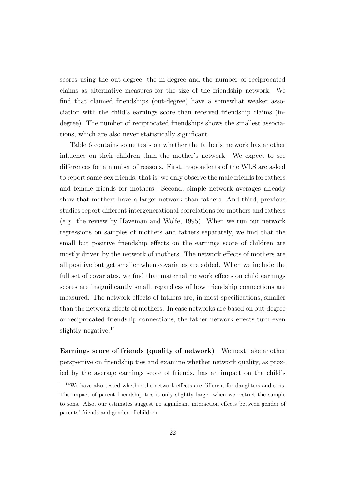scores using the out-degree, the in-degree and the number of reciprocated claims as alternative measures for the size of the friendship network. We find that claimed friendships (out-degree) have a somewhat weaker association with the child's earnings score than received friendship claims (indegree). The number of reciprocated friendships shows the smallest associations, which are also never statistically significant.

Table 6 contains some tests on whether the father's network has another influence on their children than the mother's network. We expect to see differences for a number of reasons. First, respondents of the WLS are asked to report same-sex friends; that is, we only observe the male friends for fathers and female friends for mothers. Second, simple network averages already show that mothers have a larger network than fathers. And third, previous studies report different intergenerational correlations for mothers and fathers (e.g. the review by Haveman and Wolfe, 1995). When we run our network regressions on samples of mothers and fathers separately, we find that the small but positive friendship effects on the earnings score of children are mostly driven by the network of mothers. The network effects of mothers are all positive but get smaller when covariates are added. When we include the full set of covariates, we find that maternal network effects on child earnings scores are insignificantly small, regardless of how friendship connections are measured. The network effects of fathers are, in most specifications, smaller than the network effects of mothers. In case networks are based on out-degree or reciprocated friendship connections, the father network effects turn even slightly negative.<sup>14</sup>

Earnings score of friends (quality of network) We next take another perspective on friendship ties and examine whether network quality, as proxied by the average earnings score of friends, has an impact on the child's

<sup>&</sup>lt;sup>14</sup>We have also tested whether the network effects are different for daughters and sons. The impact of parent friendship ties is only slightly larger when we restrict the sample to sons. Also, our estimates suggest no significant interaction effects between gender of parents' friends and gender of children.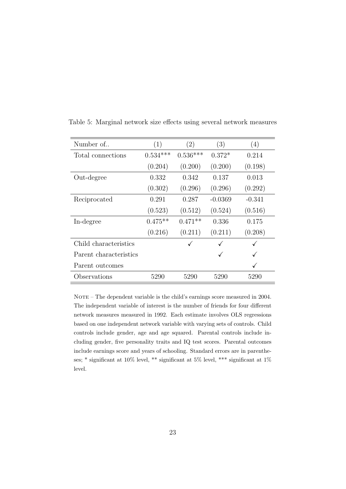| Number of              | (1)        | $\left( 2\right)$ | (3)       | (4)          |
|------------------------|------------|-------------------|-----------|--------------|
| Total connections      | $0.534***$ | $0.536***$        | $0.372*$  | 0.214        |
|                        | (0.204)    | (0.200)           | (0.200)   | (0.198)      |
| Out-degree             | 0.332      | 0.342             | 0.137     | 0.013        |
|                        | (0.302)    | (0.296)           | (0.296)   | (0.292)      |
| Reciprocated           | 0.291      | 0.287             | $-0.0369$ | $-0.341$     |
|                        | (0.523)    | (0.512)           | (0.524)   | (0.516)      |
| In-degree              | $0.475**$  | $0.471**$         | 0.336     | 0.175        |
|                        | (0.216)    | (0.211)           | (0.211)   | (0.208)      |
| Child characteristics  |            |                   |           |              |
| Parent characteristics |            |                   | ✓         | $\checkmark$ |
| Parent outcomes        |            |                   |           | ✓            |
| Observations           | 5290       | 5290              | 5290      | 5290         |

Table 5: Marginal network size effects using several network measures

NOTE – The dependent variable is the child's earnings score measured in 2004. The independent variable of interest is the number of friends for four different network measures measured in 1992. Each estimate involves OLS regressions based on one independent network variable with varying sets of controls. Child controls include gender, age and age squared. Parental controls include including gender, five personality traits and IQ test scores. Parental outcomes include earnings score and years of schooling. Standard errors are in parentheses; \* significant at  $10\%$  level, \*\* significant at  $5\%$  level, \*\*\* significant at  $1\%$ level.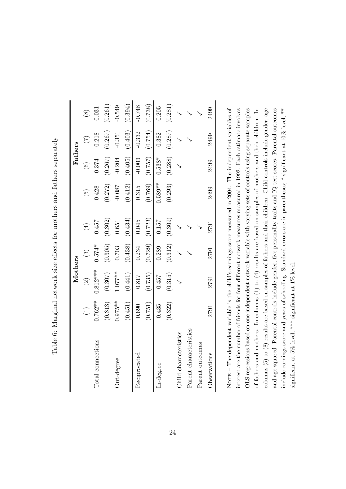| I<br>l<br>֕<br>ı                                                     |
|----------------------------------------------------------------------|
| י<br>ו                                                               |
|                                                                      |
|                                                                      |
|                                                                      |
| ξ                                                                    |
| ・・・・・・ ソユム                                                           |
| $\mathbf{r}$                                                         |
| ;<br>)<br>                                                           |
| Vlarennal notureriz eus offorte tor mothore and tathore conarar<br>١ |
| ا ماماما<br>.<br>E<br>I                                              |

|                        |           | Mothers                  |          |             |                 | Fathers       |                 |             |
|------------------------|-----------|--------------------------|----------|-------------|-----------------|---------------|-----------------|-------------|
|                        |           | $\widehat{\mathfrak{O}}$ | $\odot$  | $\bigoplus$ | $\widetilde{5}$ | $\widehat{6}$ | $\widetilde{C}$ | $\circledS$ |
| Total connections      | $0.762**$ | $0.812***$               | $0.574*$ | 0.457       | 0.428           | 0.374         | 0.218           | 0.031       |
|                        | (0.313)   | (0.307)                  | (0.305)  | (0.302)     | (0.272)         | (0.267)       | (0.267)         | (0.261)     |
| Out-degree             | $0.975**$ | $1.077***$               | 0.703    | 0.651       | $-0.087$        | $-0.204$      | $-0.351$        | $-0.549$    |
|                        | (0.451)   | (0.441)                  | (0.438)  | (0.434)     | (0.412)         | (0.405)       | (0.403)         | (0.394)     |
| Reciprocated           | 0.690     | 0.817                    | 0.234    | 0.045       | 0.315           | $-0.003$      | $-0.332$        | $-0.748$    |
|                        | (0.751)   | (0.735)                  | (0.729)  | (0.723)     | (0.769)         | (0.757)       | (0.754)         | (0.738)     |
| In-degree              | 0.435     | 0.457                    | 0.289    | 0.157       | $0.589**$       | $0.538*$      | 0.382           | 0.205       |
|                        | (0.322)   | (0.315)                  | (0.312)  | (0.309)     | (0.293)         | (0.288)       | (0.287)         | (0.281)     |
| Child characteristics  |           |                          |          |             |                 |               |                 |             |
| Parent characteristics |           |                          |          |             |                 |               |                 |             |
| Parent outcomes        |           |                          |          |             |                 |               |                 |             |
| Observations           | 2791      | 2791                     | 2791     | 2791        | 2499            | 2499          | 2499            | 2499        |
|                        |           |                          |          |             |                 |               |                 |             |

NOTE - The dependent variable is the child's earnings score measured in 2004. The independent variables of interest are the number of friends for four different network measures measured in 1992. Each estimate involves OLS regressions based on one independent network variable with varying sets of controls using separate samples of fathers and mothers. In columns  $(1)$  to  $(4)$  results are based on samples of mothers and their children. In columns  $(5)$  to  $(8)$  results are based on samples of fathers and their children. Child controls include gender, age and age squared. Parental controls include gender, five personality traits and IQ test scores. Parental outcomes include earnings score and years of schooling. Standard errors are in parentheses; \* significant at 10% level, \*\* Nor $E - T$ he dependent variable is the child's earnings score measured in 2004. The independent variables of interest are the number of friends for four different network measures measured in 1992. Each estimate involves OLS regressions based on one independent network variable with varying sets of controls using separate samples of fathers and mothers. In columns (1) to (4) results are based on samples of mothers and their children. In columns (5) to (8) results are based on samples of fathers and their children. Child controls include gender, age and age squared. Parental controls include gender, five personality traits and IQ test scores. Parental outcomes include earnings score and years of schooling. Standard errors are in parentheses; \* significant at 10% level, \*\* significant at 5% level, \*\*\* significant at 1% level. significant at 5% level, \*\*\* significant at 1% level.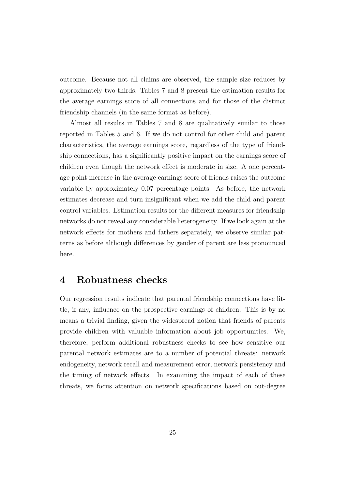outcome. Because not all claims are observed, the sample size reduces by approximately two-thirds. Tables 7 and 8 present the estimation results for the average earnings score of all connections and for those of the distinct friendship channels (in the same format as before).

Almost all results in Tables 7 and 8 are qualitatively similar to those reported in Tables 5 and 6. If we do not control for other child and parent characteristics, the average earnings score, regardless of the type of friendship connections, has a significantly positive impact on the earnings score of children even though the network effect is moderate in size. A one percentage point increase in the average earnings score of friends raises the outcome variable by approximately 0.07 percentage points. As before, the network estimates decrease and turn insignificant when we add the child and parent control variables. Estimation results for the different measures for friendship networks do not reveal any considerable heterogeneity. If we look again at the network effects for mothers and fathers separately, we observe similar patterns as before although differences by gender of parent are less pronounced here.

### 4 Robustness checks

Our regression results indicate that parental friendship connections have little, if any, influence on the prospective earnings of children. This is by no means a trivial finding, given the widespread notion that friends of parents provide children with valuable information about job opportunities. We, therefore, perform additional robustness checks to see how sensitive our parental network estimates are to a number of potential threats: network endogeneity, network recall and measurement error, network persistency and the timing of network effects. In examining the impact of each of these threats, we focus attention on network specifications based on out-degree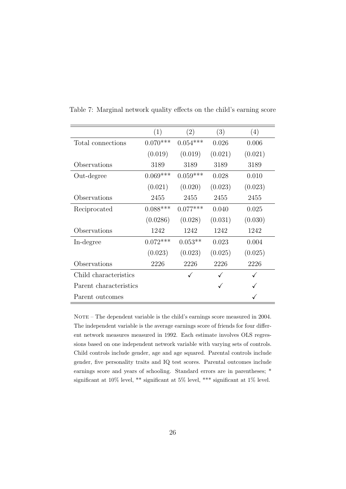|                        | (1)        | (2)        | (3)     | (4)     |
|------------------------|------------|------------|---------|---------|
| Total connections      | $0.070***$ | $0.054***$ | 0.026   | 0.006   |
|                        | (0.019)    | (0.019)    | (0.021) | (0.021) |
| Observations           | 3189       | 3189       | 3189    | 3189    |
| Out-degree             | $0.069***$ | $0.059***$ | 0.028   | 0.010   |
|                        | (0.021)    | (0.020)    | (0.023) | (0.023) |
| Observations           | 2455       | 2455       | 2455    | 2455    |
| Reciprocated           | $0.088***$ | $0.077***$ | 0.040   | 0.025   |
|                        | (0.0286)   | (0.028)    | (0.031) | (0.030) |
| Observations           | 1242       | 1242       | 1242    | 1242    |
| In-degree              | $0.072***$ | $0.053**$  | 0.023   | 0.004   |
|                        | (0.023)    | (0.023)    | (0.025) | (0.025) |
| Observations           | 2226       | 2226       | 2226    | 2226    |
| Child characteristics  |            | ✓          |         |         |
| Parent characteristics |            |            | ✓       |         |
| Parent outcomes        |            |            |         |         |

Table 7: Marginal network quality effects on the child's earning score

NOTE – The dependent variable is the child's earnings score measured in 2004. The independent variable is the average earnings score of friends for four different network measures measured in 1992. Each estimate involves OLS regressions based on one independent network variable with varying sets of controls. Child controls include gender, age and age squared. Parental controls include gender, five personality traits and IQ test scores. Parental outcomes include earnings score and years of schooling. Standard errors are in parentheses; \* significant at 10% level, \*\* significant at 5% level, \*\*\* significant at 1% level.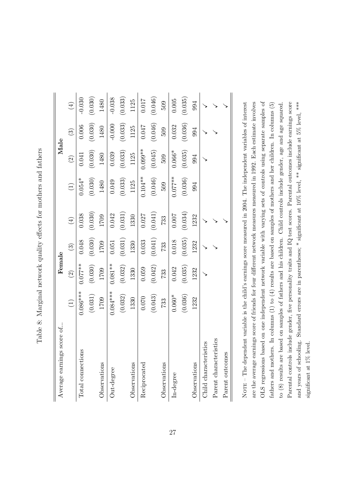| l<br>֕<br>ׇ֚֓<br>I<br>ׇ֚֕֡<br>ׇ֚֕֡<br>.<br>{                                                                                                                                                                          |
|-----------------------------------------------------------------------------------------------------------------------------------------------------------------------------------------------------------------------|
| ちょう こうこうせんこう こうしょう<br>I<br>)<br>1<br>i<br>><br>)<br>                                                                                                                                                                  |
| $\frac{1}{2}$                                                                                                                                                                                                         |
| )<br> <br> <br>Î<br>i                                                                                                                                                                                                 |
| $\sim$ $\sim$ $\sim$ $\sim$ $\sim$ $\sim$ $\sim$<br>ׇ֚֓<br>$\vdots$<br>j<br>ı                                                                                                                                         |
| ֧֧֧֧֧֧֧֧֧֧֧֧֪ׅ֧֧֧֧֧֧֧֧֧֧֧֧֧֧ׅ֧֧֧֧֧֧֧֧֧֧֧֧֧֧֧֧֧֧֧֚֚֚֚֚֚֚֚֚֚֚֚֚֚֝֝֓֝֓֝֬֝֬֝֬֝֬֝֬֓֓֓֬֓֬֓֝֬֬֜֓<br>֧֧֪֧֪֧֪֪֪֪֪֪֧֜֩<br>$\frac{1}{2}$ . The contract of $\frac{1}{2}$ is the contract of $\frac{1}{2}$<br>$\overline{ }$<br>ı |
| ׇ֘֝֬֕<br>$\ddot{\phantom{a}}$<br>$-22.5$<br>)                                                                                                                                                                         |
| ł                                                                                                                                                                                                                     |
| į<br>;<br> <br>I<br>$\overline{a}$                                                                                                                                                                                    |

| Average earnings score of  |                                   | Female    |         |                   |                                   | Male      |                |           |
|----------------------------|-----------------------------------|-----------|---------|-------------------|-----------------------------------|-----------|----------------|-----------|
|                            | $\begin{pmatrix} 1 \end{pmatrix}$ | $\odot$   | $\odot$ | $\left( 4\right)$ | $\begin{pmatrix} 1 \end{pmatrix}$ | $\odot$   | $\binom{3}{2}$ | $\tag{4}$ |
| Total connections          | $0.086***$                        | $0.077**$ | 0.048   | 0.038             | $0.054*$                          | 0.041     | 0.006          | $-0.030$  |
|                            | (0.031)                           | (0.030)   | (0.030) | (0.030)           | (0.030)                           | (0.030)   | (0.030)        | (0.030)   |
| Observations               | 1709                              | 1709      | 1709    | 1709              | 1480                              | 1480      | 1480           | 1480      |
| Out-degree                 | $0.084***$                        | $0.081**$ | 0.051   | 0.042             | 0.049                             | 0.039     | $-0.000$       | $-0.038$  |
|                            | (0.032)                           | (0.032)   | (0.031) | (0.031)           | (0.033)                           | (0.033)   | (0.033)        | (0.033)   |
| Observations               | 1330                              | 1330      | 1330    | 1330              | 1125                              | 1125      | 1125           | 1125      |
| Reciprocated               | 0.070                             | 0.059     | 0.033   | 0.027             | $0.104**$                         | $0.099**$ | <b>170:0</b>   | 0.017     |
|                            | (0.043)                           | (0.042)   | (0.041) | (0.041)           | (0.046)                           | (0.045)   | (0.046)        | (0.046)   |
| Observations               | 733                               | 733       | 733     | 733               | 509                               | 509       | 509            | 509       |
| $In-degree$                | $0.060*$                          | 0.042     | 0.018   | 0.007             | $0.077**$                         | $0.066*$  | 0.032          | 0.005     |
|                            | (0.036)                           | (0.035)   | (0.035) | (0.034)           | (0.036)                           | (0.035)   | (0.036)        | (0.035)   |
| Observations               | 1232                              | 1232      | 1232    | 1232              | 994                               | 994       | 994            | 994       |
| istics<br>Child characteri |                                   |           |         |                   |                                   |           |                |           |
| Parent characteristics     |                                   |           |         |                   |                                   |           |                |           |
| Parent outcomes            |                                   |           |         |                   |                                   |           |                |           |
|                            |                                   |           |         |                   |                                   |           |                |           |

are the average earnings score of friends for four different network measures measured in 1992. Each estimate involves OLS regressions based on one independent network variable with varying sets of controls using separate samples of Parental controls include gender, five personality traits and IQ test scores. Parental outcomes include earnings score NOTE - The dependent variable is the child's earnings score measured in 2004. The independent variables of interest OLS regressions based on one independent network variable with varying sets of controls using separate samples of fathers and mothers. In columns  $(1)$  to  $(4)$  results are based on samples of mothers and her children. In columns  $(5)$ to (8) results are based on samples of fathers and his children. Child controls include gender, age and age squared. and years of schooling. Standard errors are in parentheses; \* significant at  $10\%$  level, \*\* significant at  $5\%$  level, \*\*\* No $\tt{re}$  – The dependent variable is the child's earnings score measured in 2004. The independent variables of interest are the average earnings score of friends for four different network measures measured in 1992. Each estimate involves fathers and mothers. In columns (1) to (4) results are based on samples of mothers and her children. In columns (5) to (8) results are based on samples of fathers and his children. Child controls include gender, age and age squared. Parental controls include gender, five personality traits and IQ test scores. Parental outcomes include earnings score and years of schooling. Standard errors are in parentheses; \* significant at 10% level, \*\* significant at 5% level, \*\*\* significant at 1% level. significant at 1% level.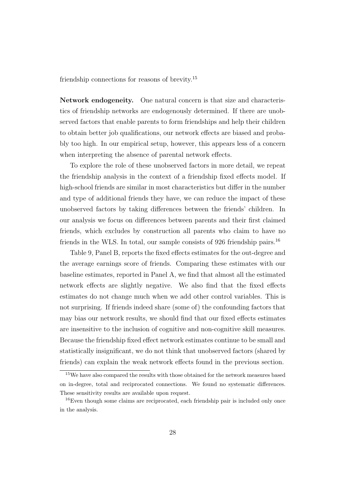friendship connections for reasons of brevity.<sup>15</sup>

Network endogeneity. One natural concern is that size and characteristics of friendship networks are endogenously determined. If there are unobserved factors that enable parents to form friendships and help their children to obtain better job qualifications, our network effects are biased and probably too high. In our empirical setup, however, this appears less of a concern when interpreting the absence of parental network effects.

To explore the role of these unobserved factors in more detail, we repeat the friendship analysis in the context of a friendship fixed effects model. If high-school friends are similar in most characteristics but differ in the number and type of additional friends they have, we can reduce the impact of these unobserved factors by taking differences between the friends' children. In our analysis we focus on differences between parents and their first claimed friends, which excludes by construction all parents who claim to have no friends in the WLS. In total, our sample consists of 926 friendship pairs.<sup>16</sup>

Table 9, Panel B, reports the fixed effects estimates for the out-degree and the average earnings score of friends. Comparing these estimates with our baseline estimates, reported in Panel A, we find that almost all the estimated network effects are slightly negative. We also find that the fixed effects estimates do not change much when we add other control variables. This is not surprising. If friends indeed share (some of) the confounding factors that may bias our network results, we should find that our fixed effects estimates are insensitive to the inclusion of cognitive and non-cognitive skill measures. Because the friendship fixed effect network estimates continue to be small and statistically insignificant, we do not think that unobserved factors (shared by friends) can explain the weak network effects found in the previous section.

<sup>15</sup>We have also compared the results with those obtained for the network measures based on in-degree, total and reciprocated connections. We found no systematic differences. These sensitivity results are available upon request.

<sup>&</sup>lt;sup>16</sup>Even though some claims are reciprocated, each friendship pair is included only once in the analysis.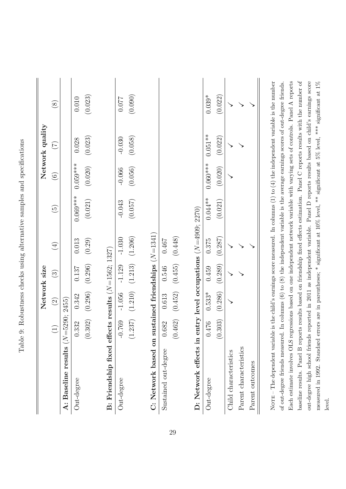|                                                      |                 | Network size                            |          |                                          |                 |               | Network quality  |             |
|------------------------------------------------------|-----------------|-----------------------------------------|----------|------------------------------------------|-----------------|---------------|------------------|-------------|
|                                                      | $\widehat{\Xi}$ | $\widehat{c}$                           | $\odot$  | $\bigoplus$                              | $\widetilde{5}$ | $\widehat{6}$ | $(\overline{C})$ | $\circledS$ |
| A: Baseline results $(N=5290; 2455)$                 |                 |                                         |          |                                          |                 |               |                  |             |
| Out-degree                                           | 0.332           | 0.342                                   | 0.137    | 0.013                                    | $0.069***$      | $0.059***$    | 0.028            | $0.010\,$   |
|                                                      | (0.302)         | (0.296)                                 | (0.296)  | (0.29)                                   | (0.021)         | (0.020)       | (0.023)          | (0.023)     |
|                                                      |                 |                                         |          |                                          |                 |               |                  |             |
| B: Friendship fixed effects results $(N=1562; 1327)$ |                 |                                         |          |                                          |                 |               |                  |             |
| Out-degree                                           | $-0.769$        | $-1.056$                                | $-1.129$ | $-1.030$                                 | $-0.043$        | $-0.066$      | $-0.030$         | 120.0       |
|                                                      |                 | $(1.237)$ $(1.210)$ $(1.213)$ $(1.206)$ |          |                                          | (0.057)         | (0.056)       | (0.058)          | (0.090)     |
| C: Network based on                                  |                 | sustained friendships $(N=1341)$        |          |                                          |                 |               |                  |             |
|                                                      |                 |                                         |          |                                          |                 |               |                  |             |
| Sustained out-degree                                 | 0.682           | 0.613                                   | 0.546    | 0.467                                    |                 |               |                  |             |
|                                                      | (0.462)         | (0.452)                                 | (0.455)  | (0.448)                                  |                 |               |                  |             |
|                                                      |                 |                                         |          |                                          |                 |               |                  |             |
| D: Network effects in                                |                 |                                         |          | entry level occupations $(N=4909; 2270)$ |                 |               |                  |             |
| Out-degree                                           | 0.476           | $0.533*$                                | 0.459    | 0.375                                    | $0.044**$       | $0.060***$    | $0.051**$        | $0.039*$    |
|                                                      | (0.303)         | (0.286)                                 | (0.289)  | (0.287)                                  | (0.021)         | (0.020)       | (0.022)          | (0.022)     |
| Child characteristics                                |                 |                                         |          |                                          |                 |               |                  |             |
| Parent characteristics                               |                 |                                         |          |                                          |                 |               |                  |             |
| Parent outcomes                                      |                 |                                         |          |                                          |                 |               |                  |             |

Table 9: Robustness checks using alternative samples and specifications Table 9: Robustness checks using alternative samples and specifications

Each estimate involves OLS regressions based on one independent network variable with varying sets of controls. Panel A reports baseline results. Panel B reports results based on friendship fixed effects estimation. Panel C reports results with the number of out-degree high school friends reported in 2011 as independent variable. Panel D reports results based on child's earnings score measured in 1992. Standard errors are in parentheses; \* significant at 10% level, \*\* significant at 5% level, \*\*\* significant at 1% of out-degree friends measured. In columns  $(6)$  to  $(8)$  the independent variable is the average earnings scores of out-degree friends. baseline results. Panel B reports results based on friendship fixed effects estimation. Panel C reports results with the number of of out-degree friends measured. In columns (6) to (8) the independent variable is the average earnings scores of out-degree friends. Each estimate involves OLS regressions based on one independent network variable with varying sets of controls. Panel A reports out-degree high school friends reported in 2011 as independent variable. Panel D reports results based on child's earnings score measured in 1992. Standard errors are in parentheses; \* significant at 10% level, \*\* significant at 5% level, \*\*\* significant at 1% level.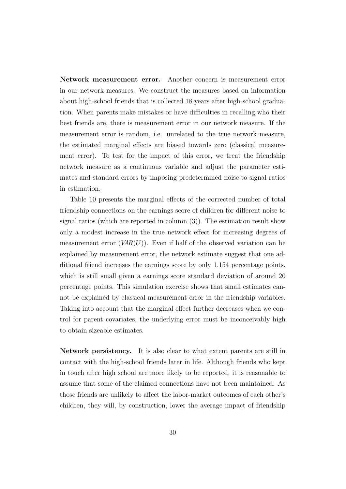Network measurement error. Another concern is measurement error in our network measures. We construct the measures based on information about high-school friends that is collected 18 years after high-school graduation. When parents make mistakes or have difficulties in recalling who their best friends are, there is measurement error in our network measure. If the measurement error is random, i.e. unrelated to the true network measure, the estimated marginal effects are biased towards zero (classical measurement error). To test for the impact of this error, we treat the friendship network measure as a continuous variable and adjust the parameter estimates and standard errors by imposing predetermined noise to signal ratios in estimation.

Table 10 presents the marginal effects of the corrected number of total friendship connections on the earnings score of children for different noise to signal ratios (which are reported in column (3)). The estimation result show only a modest increase in the true network effect for increasing degrees of measurement error  $(VAR(U))$ . Even if half of the observed variation can be explained by measurement error, the network estimate suggest that one additional friend increases the earnings score by only 1.154 percentage points, which is still small given a earnings score standard deviation of around 20 percentage points. This simulation exercise shows that small estimates cannot be explained by classical measurement error in the friendship variables. Taking into account that the marginal effect further decreases when we control for parent covariates, the underlying error must be inconceivably high to obtain sizeable estimates.

Network persistency. It is also clear to what extent parents are still in contact with the high-school friends later in life. Although friends who kept in touch after high school are more likely to be reported, it is reasonable to assume that some of the claimed connections have not been maintained. As those friends are unlikely to affect the labor-market outcomes of each other's children, they will, by construction, lower the average impact of friendship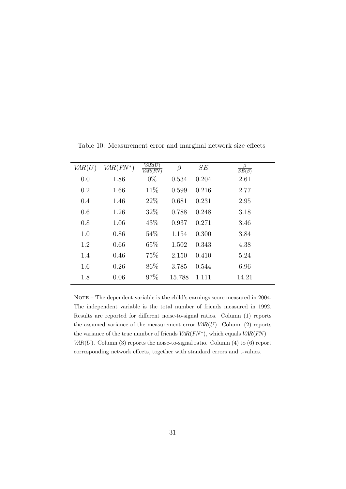| VAR(U) | $VAR(FN^*)$ | VAR(U)<br>VAR(FN) | β      | SE    | β<br>$\overline{SE(\beta)}$ |
|--------|-------------|-------------------|--------|-------|-----------------------------|
| 0.0    | 1.86        | $0\%$             | 0.534  | 0.204 | 2.61                        |
| 0.2    | 1.66        | 11\%              | 0.599  | 0.216 | 2.77                        |
| 0.4    | 1.46        | 22\%              | 0.681  | 0.231 | 2.95                        |
| 0.6    | 1.26        | 32%               | 0.788  | 0.248 | 3.18                        |
| 0.8    | 1.06        | 43\%              | 0.937  | 0.271 | 3.46                        |
| 1.0    | 0.86        | 54%               | 1.154  | 0.300 | 3.84                        |
| 1.2    | 0.66        | 65\%              | 1.502  | 0.343 | 4.38                        |
| 1.4    | 0.46        | 75%               | 2.150  | 0.410 | 5.24                        |
| 1.6    | 0.26        | 86\%              | 3.785  | 0.544 | 6.96                        |
| 1.8    | 0.06        | 97\%              | 15.788 | 1.111 | 14.21                       |

Table 10: Measurement error and marginal network size effects

NOTE – The dependent variable is the child's earnings score measured in 2004. The independent variable is the total number of friends measured in 1992. Results are reported for different noise-to-signal ratios. Column (1) reports the assumed variance of the measurement error  $VAR(U)$ . Column (2) reports the variance of the true number of friends  $VAR(FN^*)$ , which equals  $VAR(FN)$  –  $VAR(U)$ . Column (3) reports the noise-to-signal ratio. Column (4) to (6) report corresponding network effects, together with standard errors and t-values.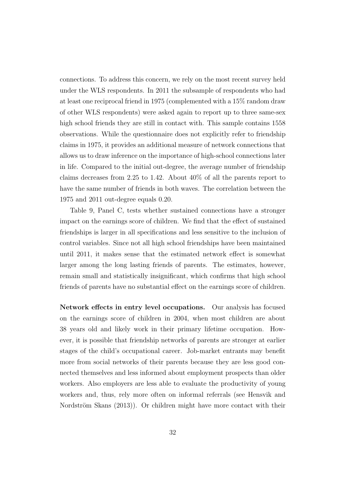connections. To address this concern, we rely on the most recent survey held under the WLS respondents. In 2011 the subsample of respondents who had at least one reciprocal friend in 1975 (complemented with a 15% random draw of other WLS respondents) were asked again to report up to three same-sex high school friends they are still in contact with. This sample contains 1558 observations. While the questionnaire does not explicitly refer to friendship claims in 1975, it provides an additional measure of network connections that allows us to draw inference on the importance of high-school connections later in life. Compared to the initial out-degree, the average number of friendship claims decreases from 2.25 to 1.42. About 40% of all the parents report to have the same number of friends in both waves. The correlation between the 1975 and 2011 out-degree equals 0.20.

Table 9, Panel C, tests whether sustained connections have a stronger impact on the earnings score of children. We find that the effect of sustained friendships is larger in all specifications and less sensitive to the inclusion of control variables. Since not all high school friendships have been maintained until 2011, it makes sense that the estimated network effect is somewhat larger among the long lasting friends of parents. The estimates, however, remain small and statistically insignificant, which confirms that high school friends of parents have no substantial effect on the earnings score of children.

Network effects in entry level occupations. Our analysis has focused on the earnings score of children in 2004, when most children are about 38 years old and likely work in their primary lifetime occupation. However, it is possible that friendship networks of parents are stronger at earlier stages of the child's occupational career. Job-market entrants may benefit more from social networks of their parents because they are less good connected themselves and less informed about employment prospects than older workers. Also employers are less able to evaluate the productivity of young workers and, thus, rely more often on informal referrals (see Hensvik and Nordström Skans  $(2013)$ ). Or children might have more contact with their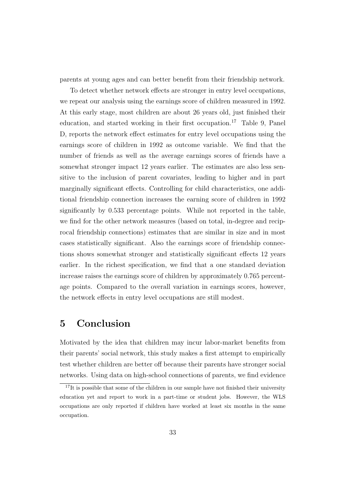parents at young ages and can better benefit from their friendship network.

To detect whether network effects are stronger in entry level occupations, we repeat our analysis using the earnings score of children measured in 1992. At this early stage, most children are about 26 years old, just finished their education, and started working in their first occupation.<sup>17</sup> Table 9, Panel D, reports the network effect estimates for entry level occupations using the earnings score of children in 1992 as outcome variable. We find that the number of friends as well as the average earnings scores of friends have a somewhat stronger impact 12 years earlier. The estimates are also less sensitive to the inclusion of parent covariates, leading to higher and in part marginally significant effects. Controlling for child characteristics, one additional friendship connection increases the earning score of children in 1992 significantly by 0.533 percentage points. While not reported in the table, we find for the other network measures (based on total, in-degree and reciprocal friendship connections) estimates that are similar in size and in most cases statistically significant. Also the earnings score of friendship connections shows somewhat stronger and statistically significant effects 12 years earlier. In the richest specification, we find that a one standard deviation increase raises the earnings score of children by approximately 0.765 percentage points. Compared to the overall variation in earnings scores, however, the network effects in entry level occupations are still modest.

### 5 Conclusion

Motivated by the idea that children may incur labor-market benefits from their parents' social network, this study makes a first attempt to empirically test whether children are better off because their parents have stronger social networks. Using data on high-school connections of parents, we find evidence

 $17$ It is possible that some of the children in our sample have not finished their university education yet and report to work in a part-time or student jobs. However, the WLS occupations are only reported if children have worked at least six months in the same occupation.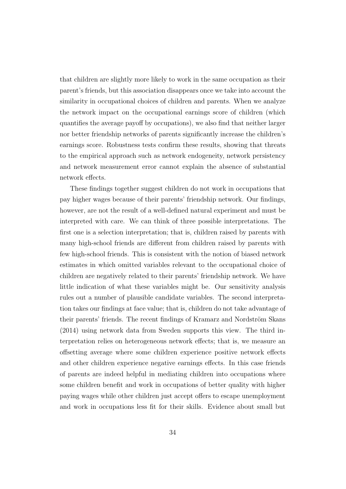that children are slightly more likely to work in the same occupation as their parent's friends, but this association disappears once we take into account the similarity in occupational choices of children and parents. When we analyze the network impact on the occupational earnings score of children (which quantifies the average payoff by occupations), we also find that neither larger nor better friendship networks of parents significantly increase the children's earnings score. Robustness tests confirm these results, showing that threats to the empirical approach such as network endogeneity, network persistency and network measurement error cannot explain the absence of substantial network effects.

These findings together suggest children do not work in occupations that pay higher wages because of their parents' friendship network. Our findings, however, are not the result of a well-defined natural experiment and must be interpreted with care. We can think of three possible interpretations. The first one is a selection interpretation; that is, children raised by parents with many high-school friends are different from children raised by parents with few high-school friends. This is consistent with the notion of biased network estimates in which omitted variables relevant to the occupational choice of children are negatively related to their parents' friendship network. We have little indication of what these variables might be. Our sensitivity analysis rules out a number of plausible candidate variables. The second interpretation takes our findings at face value; that is, children do not take advantage of their parents' friends. The recent findings of Kramarz and Nordström Skans (2014) using network data from Sweden supports this view. The third interpretation relies on heterogeneous network effects; that is, we measure an offsetting average where some children experience positive network effects and other children experience negative earnings effects. In this case friends of parents are indeed helpful in mediating children into occupations where some children benefit and work in occupations of better quality with higher paying wages while other children just accept offers to escape unemployment and work in occupations less fit for their skills. Evidence about small but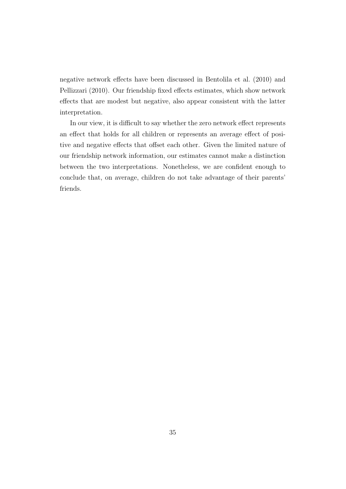negative network effects have been discussed in Bentolila et al. (2010) and Pellizzari (2010). Our friendship fixed effects estimates, which show network effects that are modest but negative, also appear consistent with the latter interpretation.

In our view, it is difficult to say whether the zero network effect represents an effect that holds for all children or represents an average effect of positive and negative effects that offset each other. Given the limited nature of our friendship network information, our estimates cannot make a distinction between the two interpretations. Nonetheless, we are confident enough to conclude that, on average, children do not take advantage of their parents' friends.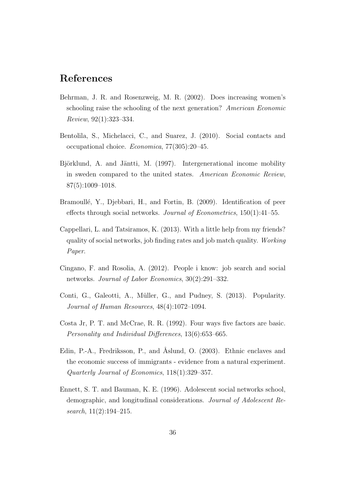### References

- Behrman, J. R. and Rosenzweig, M. R. (2002). Does increasing women's schooling raise the schooling of the next generation? American Economic Review, 92(1):323–334.
- Bentolila, S., Michelacci, C., and Suarez, J. (2010). Social contacts and occupational choice. Economica, 77(305):20–45.
- Björklund, A. and Jäntti, M. (1997). Intergenerational income mobility in sweden compared to the united states. American Economic Review, 87(5):1009–1018.
- Bramoullé, Y., Djebbari, H., and Fortin, B. (2009). Identification of peer effects through social networks. Journal of Econometrics,  $150(1)$ : 41–55.
- Cappellari, L. and Tatsiramos, K. (2013). With a little help from my friends? quality of social networks, job finding rates and job match quality. Working Paper.
- Cingano, F. and Rosolia, A. (2012). People i know: job search and social networks. Journal of Labor Economics, 30(2):291–332.
- Conti, G., Galeotti, A., Müller, G., and Pudney, S. (2013). Popularity. Journal of Human Resources, 48(4):1072–1094.
- Costa Jr, P. T. and McCrae, R. R. (1992). Four ways five factors are basic. Personality and Individual Differences, 13(6):653–665.
- Edin, P.-A., Fredriksson, P., and Åslund, O. (2003). Ethnic enclaves and the economic success of immigrants - evidence from a natural experiment. Quarterly Journal of Economics, 118(1):329–357.
- Ennett, S. T. and Bauman, K. E. (1996). Adolescent social networks school, demographic, and longitudinal considerations. Journal of Adolescent Research, 11(2):194–215.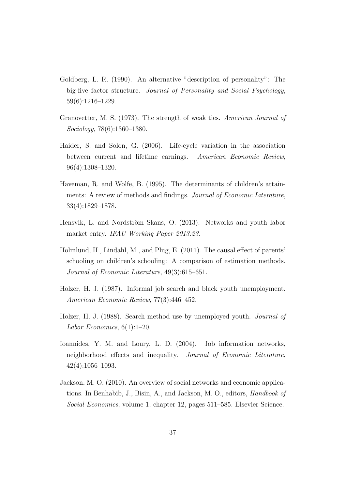- Goldberg, L. R. (1990). An alternative "description of personality": The big-five factor structure. Journal of Personality and Social Psychology, 59(6):1216–1229.
- Granovetter, M. S. (1973). The strength of weak ties. American Journal of Sociology, 78(6):1360–1380.
- Haider, S. and Solon, G. (2006). Life-cycle variation in the association between current and lifetime earnings. American Economic Review, 96(4):1308–1320.
- Haveman, R. and Wolfe, B. (1995). The determinants of children's attainments: A review of methods and findings. Journal of Economic Literature, 33(4):1829–1878.
- Hensvik, L. and Nordström Skans, O. (2013). Networks and youth labor market entry. IFAU Working Paper 2013:23.
- Holmlund, H., Lindahl, M., and Plug, E. (2011). The causal effect of parents' schooling on children's schooling: A comparison of estimation methods. Journal of Economic Literature, 49(3):615–651.
- Holzer, H. J. (1987). Informal job search and black youth unemployment. American Economic Review, 77(3):446–452.
- Holzer, H. J. (1988). Search method use by unemployed youth. Journal of Labor Economics,  $6(1):1-20$ .
- Ioannides, Y. M. and Loury, L. D. (2004). Job information networks, neighborhood effects and inequality. Journal of Economic Literature, 42(4):1056–1093.
- Jackson, M. O. (2010). An overview of social networks and economic applications. In Benhabib, J., Bisin, A., and Jackson, M. O., editors, Handbook of Social Economics, volume 1, chapter 12, pages 511–585. Elsevier Science.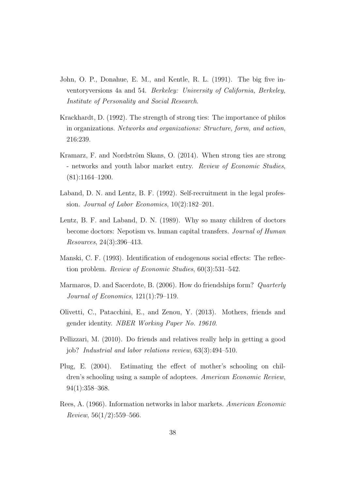- John, O. P., Donahue, E. M., and Kentle, R. L. (1991). The big five inventoryversions 4a and 54. Berkeley: University of California, Berkeley, Institute of Personality and Social Research.
- Krackhardt, D. (1992). The strength of strong ties: The importance of philos in organizations. Networks and organizations: Structure, form, and action, 216:239.
- Kramarz, F. and Nordström Skans, O. (2014). When strong ties are strong - networks and youth labor market entry. Review of Economic Studies, (81):1164–1200.
- Laband, D. N. and Lentz, B. F. (1992). Self-recruitment in the legal profession. Journal of Labor Economics, 10(2):182–201.
- Lentz, B. F. and Laband, D. N. (1989). Why so many children of doctors become doctors: Nepotism vs. human capital transfers. Journal of Human Resources, 24(3):396–413.
- Manski, C. F. (1993). Identification of endogenous social effects: The reflection problem. Review of Economic Studies, 60(3):531–542.
- Marmaros, D. and Sacerdote, B. (2006). How do friendships form? Quarterly Journal of Economics, 121(1):79–119.
- Olivetti, C., Patacchini, E., and Zenou, Y. (2013). Mothers, friends and gender identity. NBER Working Paper No. 19610.
- Pellizzari, M. (2010). Do friends and relatives really help in getting a good job? Industrial and labor relations review, 63(3):494–510.
- Plug, E. (2004). Estimating the effect of mother's schooling on children's schooling using a sample of adoptees. American Economic Review, 94(1):358–368.
- Rees, A. (1966). Information networks in labor markets. American Economic  $Review, 56(1/2):559-566.$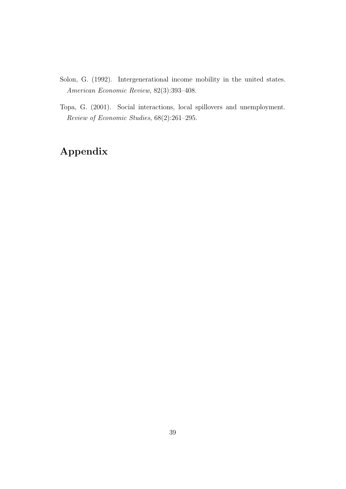- Solon, G. (1992). Intergenerational income mobility in the united states. American Economic Review, 82(3):393–408.
- Topa, G. (2001). Social interactions, local spillovers and unemployment. Review of Economic Studies, 68(2):261–295.

## Appendix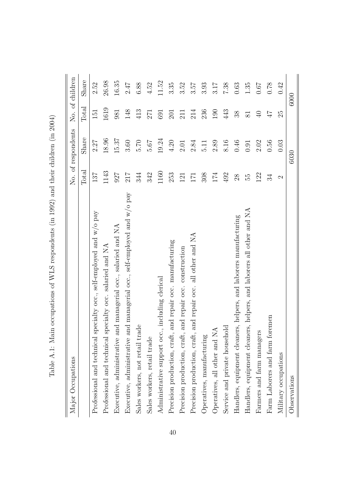| Major Occupations                                                          |               | No. of respondents |                 | No. of children |
|----------------------------------------------------------------------------|---------------|--------------------|-----------------|-----------------|
|                                                                            | Total         | Share              | Total           | Share           |
| Professional and technical specialty occ., self-employed and $w/o$ pay     | 137           | 2.27               | 151             | 2.52            |
| Professional and technical specialty occ. salaried and NA                  | 1143          | 18.96              | 1619            | 26.98           |
| Executive, administrative and managerial occ., salaried and NA             | 927           | 15.37              | 981             | 16.35           |
| Executive, administrative and managerial occ., self-employed and $w/o$ pay | 217           | 3.60               | 148             | 2.47            |
| Sales workers, not retail trade                                            | 344           | 02.70              | 413             | 6.88            |
| Sales workers, retail trade                                                | 342           | 5.67               | 271             | 4.52            |
| Administrative support occ., including clerical                            | 1160          | 19.24              | 691             | 11.52           |
| and repair occ. manufacturing<br>Precision production, craft,              | 253           | 4.20               | 201             | 3.35            |
| and repair occ. construction<br>Precision production, craft,               | 121           | 2.01               | 211             | 3.52            |
| and repair occ. all other and NA<br>Precision production, craft,           | 171           | 2.84               | 214             | 3.57            |
| Operatives, manufacturing                                                  | 308           | $\overline{11}$    | 236             | 3.93            |
| Operatives, all other and NA                                               | 174           | $2.89\,$           | 190             | 3.17            |
| Service and private household                                              | 492           | 8.16               | 443             | 7.38            |
| Handlers, equipment cleaners, helpers, and laborers manufacturing          | 28            | 0.46               | 38              | 0.63            |
| and laborers all other and NA<br>Handlers, equipment cleaners, helpers,    | 55            | 0.91               | $\overline{81}$ | 1.35            |
| Farmers and farm managers                                                  | 122           | 2.02               | $\Theta$        | 0.67            |
| Farm Laborers and farm foremen                                             | 34            | 0.56               | 47              | 0.78            |
| Military occupations                                                       | $\mathcal{C}$ | 0.03               | 25              | 0.42            |
| Observations                                                               |               | 6030               |                 | 6000            |

Table A.1: Main occupations of WLS respondents (in 1992) and their children (in 2004) Table A.1: Main occupations of WLS respondents (in 1992) and their children (in 2004)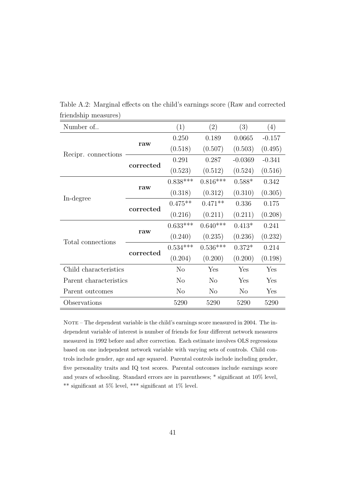| Number of              |           | (1)            | (2)            | (3)            | (4)      |
|------------------------|-----------|----------------|----------------|----------------|----------|
|                        |           | 0.250          | 0.189          | 0.0665         | $-0.157$ |
|                        | raw       | (0.518)        | (0.507)        | (0.503)        | (0.495)  |
| Recipr. connections    | corrected | 0.291          | 0.287          | $-0.0369$      | $-0.341$ |
|                        |           | (0.523)        | (0.512)        | (0.524)        | (0.516)  |
|                        |           | $0.838***$     | $0.816***$     | $0.588*$       | 0.342    |
|                        | raw       | (0.318)        | (0.312)        | (0.310)        | (0.305)  |
| In-degree              | corrected | $0.475**$      | $0.471**$      | 0.336          | 0.175    |
|                        |           | (0.216)        | (0.211)        | (0.211)        | (0.208)  |
|                        |           | $0.633***$     | $0.640***$     | $0.413*$       | 0.241    |
| Total connections      | raw       | (0.240)        | (0.235)        | (0.236)        | (0.232)  |
|                        | corrected | $0.534***$     | $0.536***$     | $0.372*$       | 0.214    |
|                        |           | (0.204)        | (0.200)        | (0.200)        | (0.198)  |
| Child characteristics  |           | N <sub>o</sub> | Yes            | Yes            | Yes      |
| Parent characteristics |           | N <sub>o</sub> | $\rm No$       | Yes            | Yes      |
| Parent outcomes        |           | N <sub>o</sub> | N <sub>o</sub> | N <sub>o</sub> | Yes      |
| Observations           |           | 5290           | 5290           | 5290           | 5290     |

Table A.2: Marginal effects on the child's earnings score (Raw and corrected friendship measures)

NOTE – The dependent variable is the child's earnings score measured in 2004. The independent variable of interest is number of friends for four different network measures measured in 1992 before and after correction. Each estimate involves OLS regressions based on one independent network variable with varying sets of controls. Child controls include gender, age and age squared. Parental controls include including gender, five personality traits and IQ test scores. Parental outcomes include earnings score and years of schooling. Standard errors are in parentheses; \* significant at 10% level, \*\* significant at 5% level, \*\*\* significant at 1% level.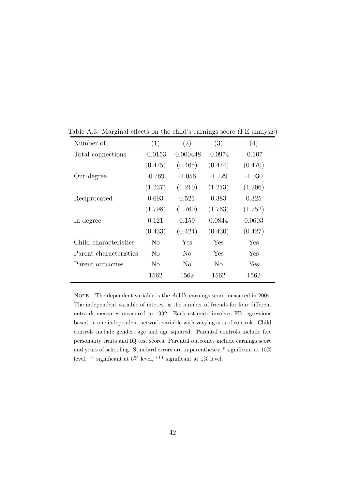| Number of              | (1)       | (2)         | (3)       | (4)      |
|------------------------|-----------|-------------|-----------|----------|
| Total connections      | $-0.0153$ | $-0.000448$ | $-0.0974$ | $-0.107$ |
|                        | (0.475)   | (0.465)     | (0.474)   | (0.470)  |
| Out-degree             | $-0.769$  | $-1.056$    | $-1.129$  | $-1.030$ |
|                        | (1.237)   | (1.210)     | (1.213)   | (1.206)  |
| Reciprocated           | 0.693     | 0.521       | 0.383     | 0.325    |
|                        | (1.798)   | (1.760)     | (1.763)   | (1.752)  |
| In-degree              | 0.121     | 0.159       | 0.0844    | 0.0603   |
|                        | (0.433)   | (0.424)     | (0.430)   | (0.427)  |
| Child characteristics  | No        | Yes         | Yes       | Yes      |
| Parent characteristics | No        | No          | Yes       | Yes      |
| Parent outcomes        | No        | No          | No        | Yes      |
|                        | 1562      | 1562        | 1562      | 1562     |

Table A.3: Marginal effects on the child's earnings score (FE-analysis)

NOTE – The dependent variable is the child's earnings score measured in 2004. The independent variable of interest is the number of friends for four different network measures measured in 1992. Each estimate involves FE regressions based on one independent network variable with varying sets of controls. Child controls include gender, age and age squared. Parental controls include five personality traits and IQ test scores. Parental outcomes include earnings score and years of schooling. Standard errors are in parentheses; \* significant at 10% level, \*\* significant at 5% level, \*\*\* significant at 1% level.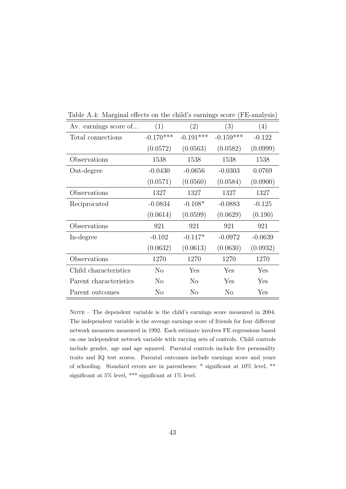| Av. earnings score of  | (1)            | (2)            | (3)         | (4)       |
|------------------------|----------------|----------------|-------------|-----------|
| Total connections      | $-0.170***$    | $-0.191***$    | $-0.159***$ | $-0.122$  |
|                        | (0.0572)       | (0.0563)       | (0.0582)    | (0.0999)  |
| Observations           | 1538           | 1538           | 1538        | 1538      |
| Out-degree             | $-0.0430$      | $-0.0656$      | $-0.0303$   | 0.0769    |
|                        | (0.0571)       | (0.0560)       | (0.0584)    | (0.0900)  |
| Observations           | 1327           | 1327           | 1327        | 1327      |
| Reciprocated           | $-0.0834$      | $-0.108*$      | $-0.0883$   | $-0.125$  |
|                        | (0.0614)       | (0.0599)       | (0.0629)    | (0.190)   |
| Observations           | 921            | 921            | 921         | 921       |
| In-degree              | $-0.102$       | $-0.117*$      | $-0.0972$   | $-0.0639$ |
|                        | (0.0632)       | (0.0613)       | (0.0630)    | (0.0932)  |
| Observations           | 1270           | 1270           | 1270        | 1270      |
| Child characteristics  | N <sub>o</sub> | Yes            | Yes         | Yes       |
| Parent characteristics | $\rm No$       | $\rm No$       | Yes         | Yes       |
| Parent outcomes        | No             | N <sub>o</sub> | No          | Yes       |

Table A.4: Marginal effects on the child's earnings score (FE-analysis)

NOTE – The dependent variable is the child's earnings score measured in 2004. The independent variable is the average earnings score of friends for four different network measures measured in 1992. Each estimate involves FE regressions based on one independent network variable with varying sets of controls. Child controls include gender, age and age squared. Parental controls include five personality traits and IQ test scores. Parental outcomes include earnings score and years of schooling. Standard errors are in parentheses; \* significant at 10% level, \*\* significant at 5% level, \*\*\* significant at 1% level.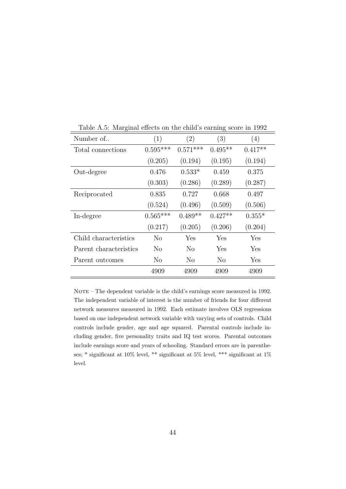| Number of              | (1)        | $\left( 2\right)$ | (3)       | (4)         |
|------------------------|------------|-------------------|-----------|-------------|
| Total connections      | $0.595***$ | $0.571***$        | $0.495**$ | $0.417**$   |
|                        | (0.205)    | (0.194)           | (0.195)   | (0.194)     |
| Out-degree             | 0.476      | $0.533*$          | 0.459     | 0.375       |
|                        | (0.303)    | (0.286)           | (0.289)   | (0.287)     |
| Reciprocated           | 0.835      | 0.727             | 0.668     | 0.497       |
|                        | (0.524)    | (0.496)           | (0.509)   | (0.506)     |
| In-degree              | $0.565***$ | $0.489**$         | $0.427**$ | $0.355*$    |
|                        | (0.217)    | (0.205)           | (0.206)   | (0.204)     |
| Child characteristics  | No         | Yes               | Yes       | Yes         |
| Parent characteristics | No         | No                | Yes       | ${\rm Yes}$ |
| Parent outcomes        | No         | No                | No        | Yes         |
|                        | 4909       | 4909              | 4909      | 4909        |

Table A.5: Marginal effects on the child's earning score in 1992

NOTE – The dependent variable is the child's earnings score measured in 1992. The independent variable of interest is the number of friends for four different network measures measured in 1992. Each estimate involves OLS regressions based on one independent network variable with varying sets of controls. Child controls include gender, age and age squared. Parental controls include including gender, five personality traits and IQ test scores. Parental outcomes include earnings score and years of schooling. Standard errors are in parentheses; \* significant at 10% level, \*\* significant at 5% level, \*\*\* significant at 1% level.